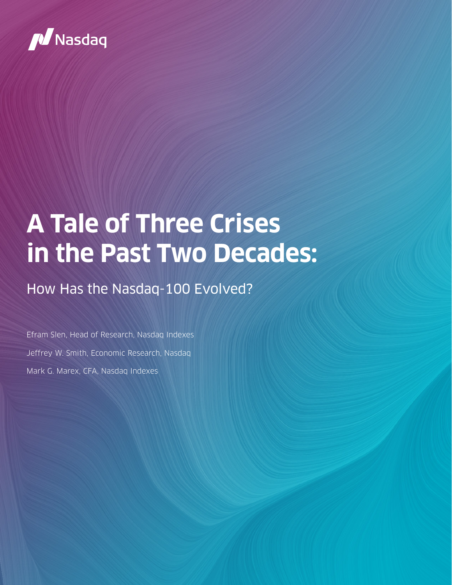

# **A Tale of Three Crises in the Past Two Decades:**

## How Has the Nasdaq-100 Evolved?

Efram Slen, Head of Research, Nasdaq Indexes Jeffrey W. Smith, Economic Research, Nasdaq Mark G. Marex, CFA, Nasdaq Indexes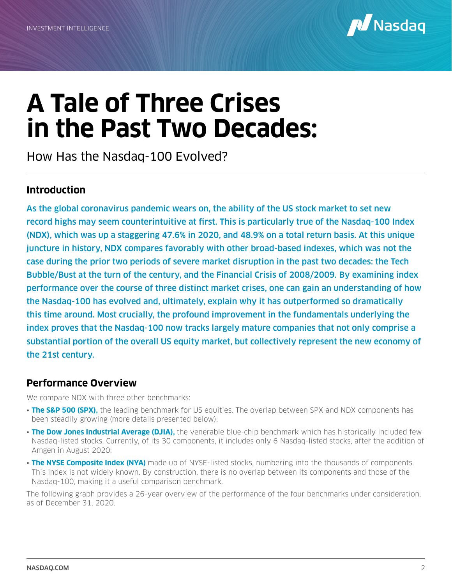

## **A Tale of Three Crises in the Past Two Decades:**

How Has the Nasdaq-100 Evolved?

### **Introduction**

As the global coronavirus pandemic wears on, the ability of the US stock market to set new record highs may seem counterintuitive at first. This is particularly true of the Nasdaq-100 Index (NDX), which was up a staggering 47.6% in 2020, and 48.9% on a total return basis. At this unique juncture in history, NDX compares favorably with other broad-based indexes, which was not the case during the prior two periods of severe market disruption in the past two decades: the Tech Bubble/Bust at the turn of the century, and the Financial Crisis of 2008/2009. By examining index performance over the course of three distinct market crises, one can gain an understanding of how the Nasdaq-100 has evolved and, ultimately, explain why it has outperformed so dramatically this time around. Most crucially, the profound improvement in the fundamentals underlying the index proves that the Nasdaq-100 now tracks largely mature companies that not only comprise a substantial portion of the overall US equity market, but collectively represent the new economy of the 21st century.

### **Performance Overview**

We compare NDX with three other benchmarks:

- **The S&P 500 (SPX),** the leading benchmark for US equities. The overlap between SPX and NDX components has been steadily growing (more details presented below);
- **The Dow Jones Industrial Average (DJIA),** the venerable blue-chip benchmark which has historically included few Nasdaq-listed stocks. Currently, of its 30 components, it includes only 6 Nasdaq-listed stocks, after the addition of Amgen in August 2020;
- **The NYSE Composite Index (NYA)** made up of NYSE-listed stocks, numbering into the thousands of components. This index is not widely known. By construction, there is no overlap between its components and those of the Nasdaq-100, making it a useful comparison benchmark.

The following graph provides a 26-year overview of the performance of the four benchmarks under consideration, as of December 31, 2020.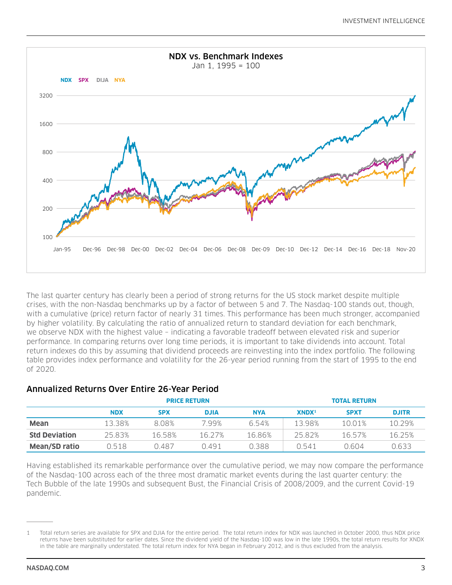

The last quarter century has clearly been a period of strong returns for the US stock market despite multiple crises, with the non-Nasdaq benchmarks up by a factor of between 5 and 7. The Nasdaq-100 stands out, though, with a cumulative (price) return factor of nearly 31 times. This performance has been much stronger, accompanied by higher volatility. By calculating the ratio of annualized return to standard deviation for each benchmark, we observe NDX with the highest value – indicating a favorable tradeoff between elevated risk and superior performance. In comparing returns over long time periods, it is important to take dividends into account. Total return indexes do this by assuming that dividend proceeds are reinvesting into the index portfolio. The following table provides index performance and volatility for the 26-year period running from the start of 1995 to the end of 2020.

### Annualized Returns Over Entire 26-Year Period

|                      | <b>PRICE RETURN</b> |            |             |            | <b>TOTAL RETURN</b> |             |              |
|----------------------|---------------------|------------|-------------|------------|---------------------|-------------|--------------|
|                      | <b>NDX</b>          | <b>SPX</b> | <b>DJIA</b> | <b>NYA</b> | XNDX <sup>1</sup>   | <b>SPXT</b> | <b>DJITR</b> |
| <b>Mean</b>          | 13.38%              | 8.08%      | 7.99%       | 6.54%      | 13.98%              | 10.01%      | 10.29%       |
| <b>Std Deviation</b> | 25.83%              | 16.58%     | 16.27%      | 16.86%     | 25.82%              | 1657%       | 16.25%       |
| Mean/SD ratio        | 0.518               | 0.487      | O 491       | 0.388      | 0.541               | Ი ᲜᲘ4       | 0.633        |

Having established its remarkable performance over the cumulative period, we may now compare the performance of the Nasdaq-100 across each of the three most dramatic market events during the last quarter century: the Tech Bubble of the late 1990s and subsequent Bust, the Financial Crisis of 2008/2009, and the current Covid-19 pandemic.

<sup>1</sup> Total return series are available for SPX and DJIA for the entire period. The total return index for NDX was launched in October 2000, thus NDX price returns have been substituted for earlier dates. Since the dividend yield of the Nasdaq-100 was low in the late 1990s, the total return results for XNDX in the table are marginally understated. The total return index for NYA began in February 2012, and is thus excluded from the analysis.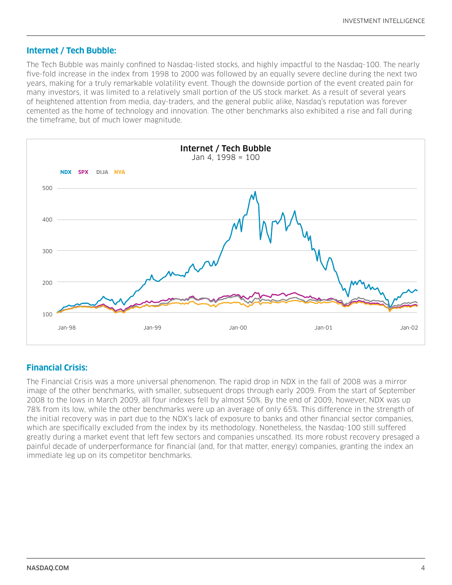#### **Internet / Tech Bubble:**

The Tech Bubble was mainly confined to Nasdaq-listed stocks, and highly impactful to the Nasdaq-100. The nearly five-fold increase in the index from 1998 to 2000 was followed by an equally severe decline during the next two years, making for a truly remarkable volatility event. Though the downside portion of the event created pain for many investors, it was limited to a relatively small portion of the US stock market. As a result of several years of heightened attention from media, day-traders, and the general public alike, Nasdaq's reputation was forever cemented as the home of technology and innovation. The other benchmarks also exhibited a rise and fall during the timeframe, but of much lower magnitude.



### **Financial Crisis:**

The Financial Crisis was a more universal phenomenon. The rapid drop in NDX in the fall of 2008 was a mirror image of the other benchmarks, with smaller, subsequent drops through early 2009. From the start of September 2008 to the lows in March 2009, all four indexes fell by almost 50%. By the end of 2009, however, NDX was up 78% from its low, while the other benchmarks were up an average of only 65%. This difference in the strength of the initial recovery was in part due to the NDX's lack of exposure to banks and other financial sector companies, which are specifically excluded from the index by its methodology. Nonetheless, the Nasdaq-100 still suffered greatly during a market event that left few sectors and companies unscathed. Its more robust recovery presaged a painful decade of underperformance for financial (and, for that matter, energy) companies, granting the index an immediate leg up on its competitor benchmarks.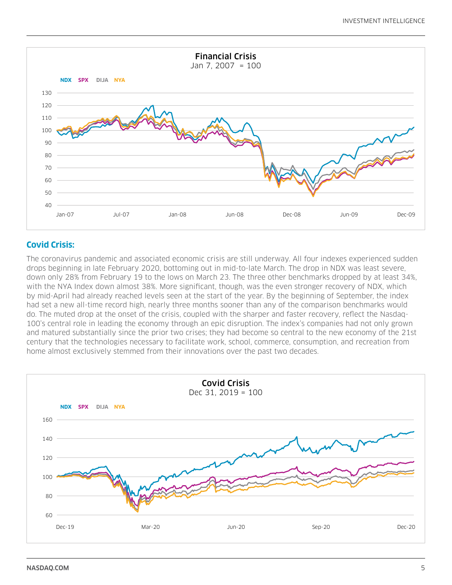

## **Covid Crisis:**

The coronavirus pandemic and associated economic crisis are still underway. All four indexes experienced sudden drops beginning in late February 2020, bottoming out in mid-to-late March. The drop in NDX was least severe, down only 28% from February 19 to the lows on March 23. The three other benchmarks dropped by at least 34%, with the NYA Index down almost 38%. More significant, though, was the even stronger recovery of NDX, which by mid-April had already reached levels seen at the start of the year. By the beginning of September, the index had set a new all-time record high, nearly three months sooner than any of the comparison benchmarks would do. The muted drop at the onset of the crisis, coupled with the sharper and faster recovery, reflect the Nasdaq-100's central role in leading the economy through an epic disruption. The index's companies had not only grown and matured substantially since the prior two crises; they had become so central to the new economy of the 21st century that the technologies necessary to facilitate work, school, commerce, consumption, and recreation from home almost exclusively stemmed from their innovations over the past two decades.

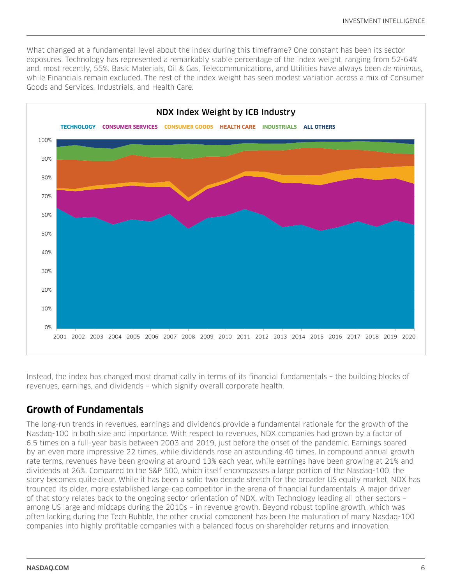What changed at a fundamental level about the index during this timeframe? One constant has been its sector exposures. Technology has represented a remarkably stable percentage of the index weight, ranging from 52-64% and, most recently, 55%. Basic Materials, Oil & Gas, Telecommunications, and Utilities have always been *de minimus,* while Financials remain excluded. The rest of the index weight has seen modest variation across a mix of Consumer Goods and Services, Industrials, and Health Care.



Instead, the index has changed most dramatically in terms of its financial fundamentals – the building blocks of revenues, earnings, and dividends – which signify overall corporate health.

## **Growth of Fundamentals**

The long-run trends in revenues, earnings and dividends provide a fundamental rationale for the growth of the Nasdaq-100 in both size and importance. With respect to revenues, NDX companies had grown by a factor of 6.5 times on a full-year basis between 2003 and 2019, just before the onset of the pandemic. Earnings soared by an even more impressive 22 times, while dividends rose an astounding 40 times. In compound annual growth rate terms, revenues have been growing at around 13% each year, while earnings have been growing at 21% and dividends at 26%. Compared to the S&P 500, which itself encompasses a large portion of the Nasdaq-100, the story becomes quite clear. While it has been a solid two decade stretch for the broader US equity market, NDX has trounced its older, more established large-cap competitor in the arena of financial fundamentals. A major driver of that story relates back to the ongoing sector orientation of NDX, with Technology leading all other sectors – among US large and midcaps during the 2010s – in revenue growth. Beyond robust topline growth, which was often lacking during the Tech Bubble, the other crucial component has been the maturation of many Nasdaq-100 companies into highly profitable companies with a balanced focus on shareholder returns and innovation.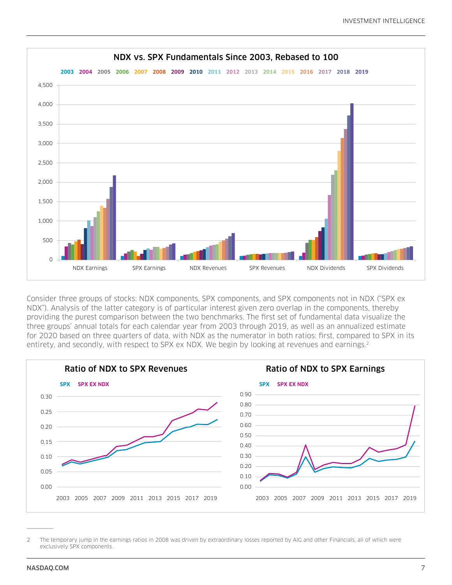

Consider three groups of stocks: NDX components, SPX components, and SPX components not in NDX ("SPX ex NDX"). Analysis of the latter category is of particular interest given zero overlap in the components, thereby providing the purest comparison between the two benchmarks. The first set of fundamental data visualize the three groups' annual totals for each calendar year from 2003 through 2019, as well as an annualized estimate for 2020 based on three quarters of data, with NDX as the numerator in both ratios: first, compared to SPX in its entirety, and secondly, with respect to SPX ex NDX. We begin by looking at revenues and earnings.2



<sup>2</sup> The temporary jump in the earnings ratios in 2008 was driven by extraordinary losses reported by AIG and other Financials, all of which were exclusively SPX components.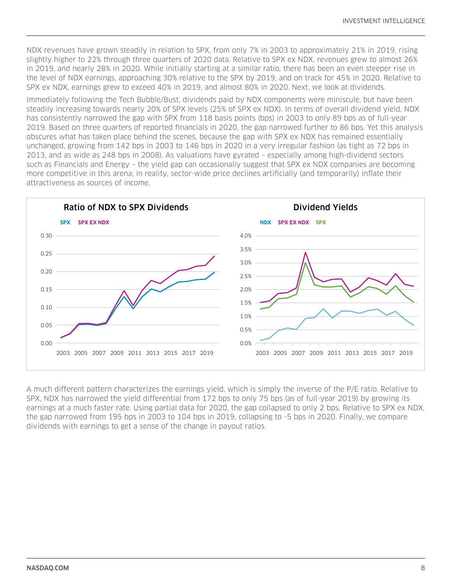NDX revenues have grown steadily in relation to SPX, from only 7% in 2003 to approximately 21% in 2019, rising slightly higher to 22% through three quarters of 2020 data. Relative to SPX ex NDX, revenues grew to almost 26% in 2019, and nearly 28% in 2020. While initially starting at a similar ratio, there has been an even steeper rise in the level of NDX earnings, approaching 30% relative to the SPX by 2019, and on track for 45% in 2020. Relative to SPX ex NDX, earnings grew to exceed 40% in 2019, and almost 80% in 2020. Next, we look at dividends.

Immediately following the Tech Bubble/Bust, dividends paid by NDX components were miniscule, but have been steadily increasing towards nearly 20% of SPX levels (25% of SPX ex NDX). In terms of overall dividend yield, NDX has consistently narrowed the gap with SPX from 118 basis points (bps) in 2003 to only 89 bps as of full-year 2019. Based on three quarters of reported financials in 2020, the gap narrowed further to 86 bps. Yet this analysis obscures what has taken place behind the scenes, because the gap with SPX ex NDX has remained essentially unchanged, growing from 142 bps in 2003 to 146 bps in 2020 in a very irregular fashion (as tight as 72 bps in 2013, and as wide as 248 bps in 2008). As valuations have gyrated – especially among high-dividend sectors such as Financials and Energy – the yield gap can occasionally suggest that SPX ex NDX companies are becoming more competitive in this arena; in reality, sector-wide price declines artificially (and temporarily) inflate their attractiveness as sources of income.



A much different pattern characterizes the earnings yield, which is simply the inverse of the P/E ratio. Relative to SPX, NDX has narrowed the yield differential from 172 bps to only 75 bps (as of full-year 2019) by growing its earnings at a much faster rate. Using partial data for 2020, the gap collapsed to only 2 bps. Relative to SPX ex NDX, the gap narrowed from 195 bps in 2003 to 104 bps in 2019, collapsing to -5 bps in 2020. Finally, we compare dividends with earnings to get a sense of the change in payout ratios.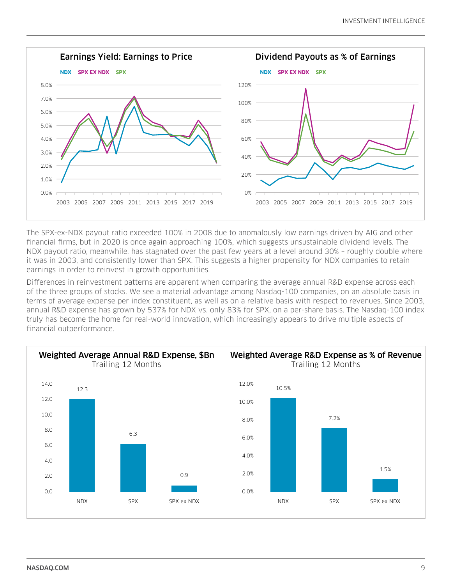

The SPX-ex-NDX payout ratio exceeded 100% in 2008 due to anomalously low earnings driven by AIG and other financial firms, but in 2020 is once again approaching 100%, which suggests unsustainable dividend levels. The NDX payout ratio, meanwhile, has stagnated over the past few years at a level around 30% – roughly double where it was in 2003, and consistently lower than SPX. This suggests a higher propensity for NDX companies to retain earnings in order to reinvest in growth opportunities.

Differences in reinvestment patterns are apparent when comparing the average annual R&D expense across each of the three groups of stocks. We see a material advantage among Nasdaq-100 companies, on an absolute basis in terms of average expense per index constituent, as well as on a relative basis with respect to revenues. Since 2003, annual R&D expense has grown by 537% for NDX vs. only 83% for SPX, on a per-share basis. The Nasdaq-100 index truly has become the home for real-world innovation, which increasingly appears to drive multiple aspects of financial outperformance.

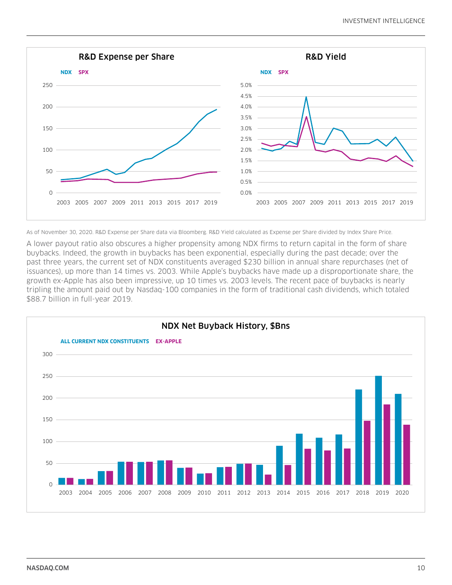

As of November 30, 2020. R&D Expense per Share data via Bloomberg. R&D Yield calculated as Expense per Share divided by Index Share Price.

A lower payout ratio also obscures a higher propensity among NDX firms to return capital in the form of share buybacks. Indeed, the growth in buybacks has been exponential, especially during the past decade; over the past three years, the current set of NDX constituents averaged \$230 billion in annual share repurchases (net of issuances), up more than 14 times vs. 2003. While Apple's buybacks have made up a disproportionate share, the growth ex-Apple has also been impressive, up 10 times vs. 2003 levels. The recent pace of buybacks is nearly tripling the amount paid out by Nasdaq-100 companies in the form of traditional cash dividends, which totaled \$88.7 billion in full-year 2019.

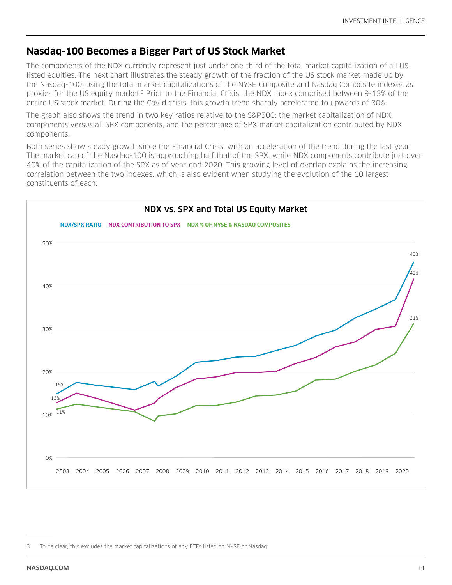## **Nasdaq-100 Becomes a Bigger Part of US Stock Market**

The components of the NDX currently represent just under one-third of the total market capitalization of all USlisted equities. The next chart illustrates the steady growth of the fraction of the US stock market made up by the Nasdaq-100, using the total market capitalizations of the NYSE Composite and Nasdaq Composite indexes as proxies for the US equity market.3 Prior to the Financial Crisis, the NDX Index comprised between 9-13% of the entire US stock market. During the Covid crisis, this growth trend sharply accelerated to upwards of 30%.

The graph also shows the trend in two key ratios relative to the S&P500: the market capitalization of NDX components versus all SPX components, and the percentage of SPX market capitalization contributed by NDX components.

Both series show steady growth since the Financial Crisis, with an acceleration of the trend during the last year. The market cap of the Nasdaq-100 is approaching half that of the SPX, while NDX components contribute just over 40% of the capitalization of the SPX as of year-end 2020. This growing level of overlap explains the increasing correlation between the two indexes, which is also evident when studying the evolution of the 10 largest constituents of each.



<sup>3</sup> To be clear, this excludes the market capitalizations of any ETFs listed on NYSE or Nasdaq.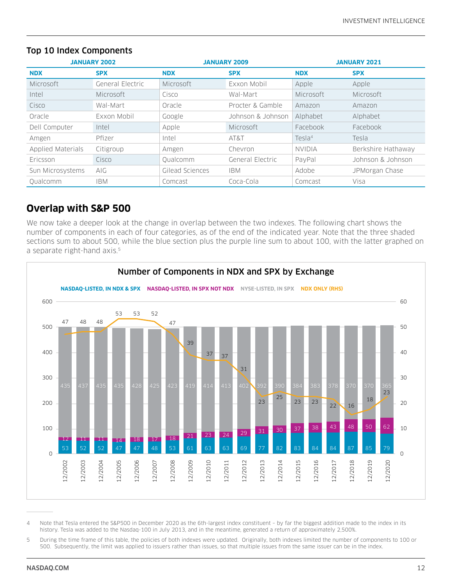| <b>JANUARY 2002</b> |                  |                 | <b>JANUARY 2009</b> | <b>JANUARY 2021</b> |                    |  |
|---------------------|------------------|-----------------|---------------------|---------------------|--------------------|--|
| <b>NDX</b>          | <b>SPX</b>       | <b>NDX</b>      | <b>SPX</b>          | <b>NDX</b>          | <b>SPX</b>         |  |
| Microsoft           | General Electric | Microsoft       | Exxon Mobil         | Apple               | Apple              |  |
| Intel               | Microsoft        | Cisco           | Wal-Mart            | Microsoft           | Microsoft          |  |
| Cisco               | Wal-Mart         | Oracle          | Procter & Gamble    | Amazon              | Amazon             |  |
| Oracle              | Exxon Mobil      | Google          | Johnson & Johnson   | Alphabet            | Alphabet           |  |
| Dell Computer       | Intel            | Apple           | Microsoft           | Facebook            | Facebook           |  |
| Amgen               | Pfizer           | Intel           | AT&T                | Tes1a <sup>4</sup>  | Tesla              |  |
| Applied Materials   | Citigroup        | Amgen           | Chevron             | <b>NVIDIA</b>       | Berkshire Hathaway |  |
| Ericsson            | Cisco            | Oualcomm        | General Electric    | PayPal              | Johnson & Johnson  |  |
| Sun Microsystems    | AIG.             | Gilead Sciences | <b>IBM</b>          | Adobe               | JPMorgan Chase     |  |
| Oualcomm            | <b>IBM</b>       | Comcast         | Coca-Cola           | Comcast             | Visa               |  |

#### Top 10 Index Components

## **Overlap with S&P 500**

We now take a deeper look at the change in overlap between the two indexes. The following chart shows the number of components in each of four categories, as of the end of the indicated year. Note that the three shaded sections sum to about 500, while the blue section plus the purple line sum to about 100, with the latter graphed on a separate right-hand axis.<sup>5</sup>



 Note that Tesla entered the S&P500 in December 2020 as the 6th-largest index constituent – by far the biggest addition made to the index in its history. Tesla was added to the Nasdaq-100 in July 2013, and in the meantime, generated a return of approximately 2,500%.

 During the time frame of this table, the policies of both indexes were updated. Originally, both indexes limited the number of components to 100 or 500. Subsequently, the limit was applied to issuers rather than issues, so that multiple issues from the same issuer can be in the index.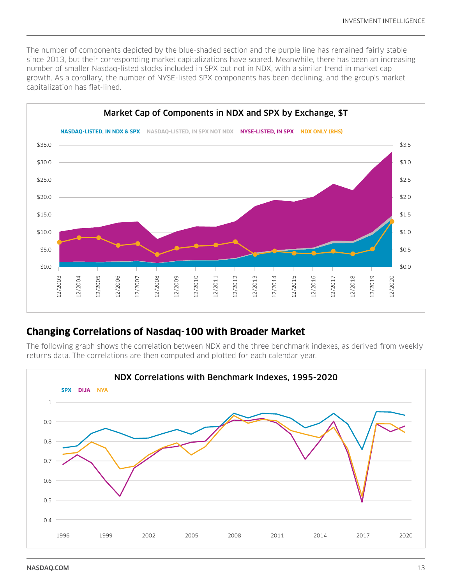The number of components depicted by the blue-shaded section and the purple line has remained fairly stable since 2013, but their corresponding market capitalizations have soared. Meanwhile, there has been an increasing number of smaller Nasdaq-listed stocks included in SPX but not in NDX, with a similar trend in market cap growth. As a corollary, the number of NYSE-listed SPX components has been declining, and the group's market capitalization has flat-lined.



## **Changing Correlations of Nasdaq-100 with Broader Market**

The following graph shows the correlation between NDX and the three benchmark indexes, as derived from weekly returns data. The correlations are then computed and plotted for each calendar year.

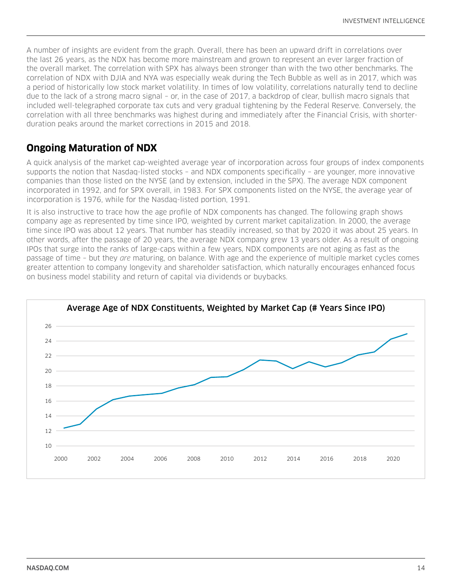A number of insights are evident from the graph. Overall, there has been an upward drift in correlations over the last 26 years, as the NDX has become more mainstream and grown to represent an ever larger fraction of the overall market. The correlation with SPX has always been stronger than with the two other benchmarks. The correlation of NDX with DJIA and NYA was especially weak during the Tech Bubble as well as in 2017, which was a period of historically low stock market volatility. In times of low volatility, correlations naturally tend to decline due to the lack of a strong macro signal – or, in the case of 2017, a backdrop of clear, bullish macro signals that included well-telegraphed corporate tax cuts and very gradual tightening by the Federal Reserve. Conversely, the correlation with all three benchmarks was highest during and immediately after the Financial Crisis, with shorterduration peaks around the market corrections in 2015 and 2018.

## **Ongoing Maturation of NDX**

A quick analysis of the market cap-weighted average year of incorporation across four groups of index components supports the notion that Nasdaq-listed stocks – and NDX components specifically – are younger, more innovative companies than those listed on the NYSE (and by extension, included in the SPX). The average NDX component incorporated in 1992, and for SPX overall, in 1983. For SPX components listed on the NYSE, the average year of incorporation is 1976, while for the Nasdaq-listed portion, 1991.

It is also instructive to trace how the age profile of NDX components has changed. The following graph shows company age as represented by time since IPO, weighted by current market capitalization. In 2000, the average time since IPO was about 12 years. That number has steadily increased, so that by 2020 it was about 25 years. In other words, after the passage of 20 years, the average NDX company grew 13 years older. As a result of ongoing IPOs that surge into the ranks of large-caps within a few years, NDX components are not aging as fast as the passage of time – but they *are* maturing, on balance. With age and the experience of multiple market cycles comes greater attention to company longevity and shareholder satisfaction, which naturally encourages enhanced focus on business model stability and return of capital via dividends or buybacks.

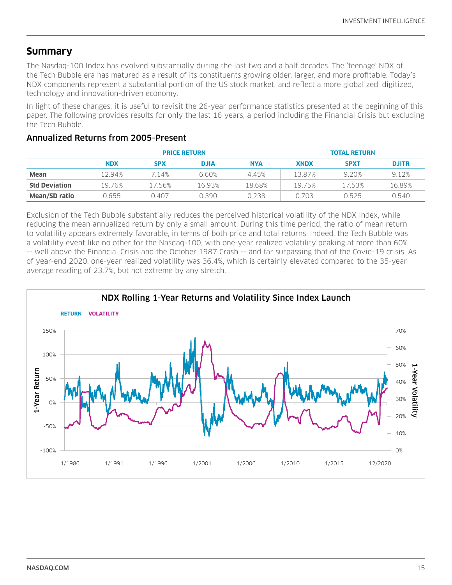## **Summary**

The Nasdaq-100 Index has evolved substantially during the last two and a half decades. The 'teenage' NDX of the Tech Bubble era has matured as a result of its constituents growing older, larger, and more profitable. Today's NDX components represent a substantial portion of the US stock market, and reflect a more globalized, digitized, technology and innovation-driven economy.

In light of these changes, it is useful to revisit the 26-year performance statistics presented at the beginning of this paper. The following provides results for only the last 16 years, a period including the Financial Crisis but excluding the Tech Bubble.

#### Annualized Returns from 2005-Present

|                      | <b>PRICE RETURN</b> |            |             |        | <b>TOTAL RETURN</b> |             |              |
|----------------------|---------------------|------------|-------------|--------|---------------------|-------------|--------------|
|                      | <b>NDX</b>          | <b>SPX</b> | <b>DJIA</b> | NYA    | <b>XNDX</b>         | <b>SPXT</b> | <b>DJITR</b> |
| <b>Mean</b>          | 12.94%              | 7.14%      | 6.60%       | 4.45%  | 13.87%              | 9.20%       | 9.12%        |
| <b>Std Deviation</b> | 19.76%              | 1756%      | 1693%       | 18.68% | 1975%               | 1753%       | 16.89%       |
| <b>Mean/SD ratio</b> | 0.655               | 0.407      | 0.390       | 0.238  | 0.703               | 0.525       | 0.540        |

Exclusion of the Tech Bubble substantially reduces the perceived historical volatility of the NDX Index, while reducing the mean annualized return by only a small amount. During this time period, the ratio of mean return to volatility appears extremely favorable, in terms of both price and total returns. Indeed, the Tech Bubble was a volatility event like no other for the Nasdaq-100, with one-year realized volatility peaking at more than 60% -- well above the Financial Crisis and the October 1987 Crash -- and far surpassing that of the Covid-19 crisis. As of year-end 2020, one-year realized volatility was 36.4%, which is certainly elevated compared to the 35-year average reading of 23.7%, but not extreme by any stretch.